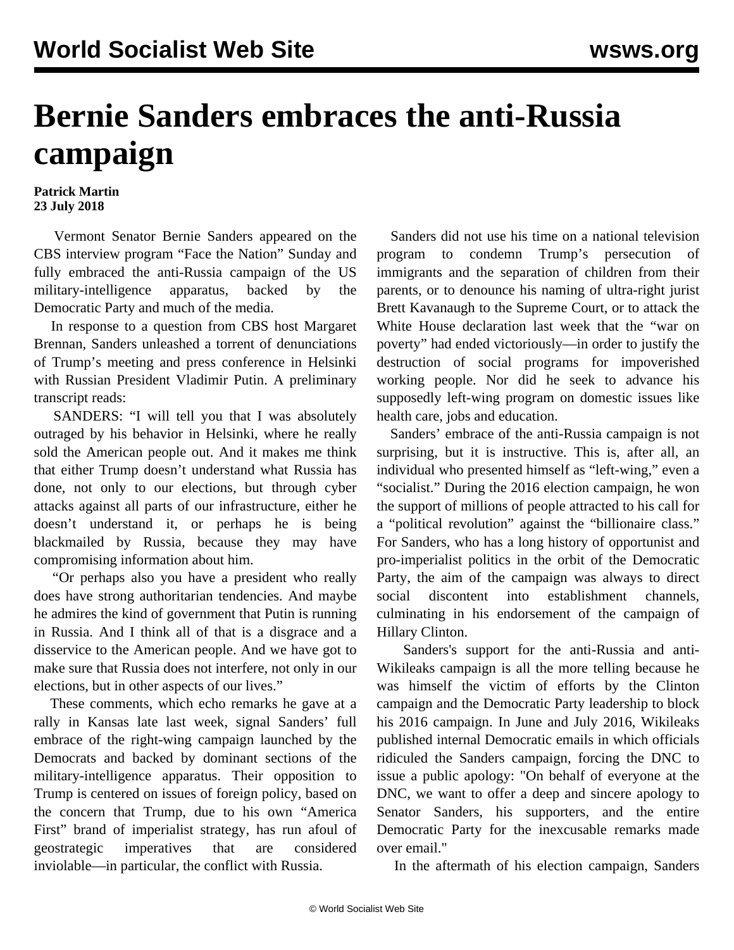## **Bernie Sanders embraces the anti-Russia campaign**

## **Patrick Martin 23 July 2018**

 Vermont Senator Bernie Sanders appeared on the CBS interview program "Face the Nation" Sunday and fully embraced the anti-Russia campaign of the US military-intelligence apparatus, backed by the Democratic Party and much of the media.

 In response to a question from CBS host Margaret Brennan, Sanders unleashed a torrent of denunciations of Trump's meeting and press conference in Helsinki with Russian President Vladimir Putin. A preliminary transcript reads:

 SANDERS: "I will tell you that I was absolutely outraged by his behavior in Helsinki, where he really sold the American people out. And it makes me think that either Trump doesn't understand what Russia has done, not only to our elections, but through cyber attacks against all parts of our infrastructure, either he doesn't understand it, or perhaps he is being blackmailed by Russia, because they may have compromising information about him.

 "Or perhaps also you have a president who really does have strong authoritarian tendencies. And maybe he admires the kind of government that Putin is running in Russia. And I think all of that is a disgrace and a disservice to the American people. And we have got to make sure that Russia does not interfere, not only in our elections, but in other aspects of our lives."

 These comments, which echo remarks he gave at a rally in Kansas late last week, signal Sanders' full embrace of the right-wing campaign launched by the Democrats and backed by dominant sections of the military-intelligence apparatus. Their opposition to Trump is centered on issues of foreign policy, based on the concern that Trump, due to his own "America First" brand of imperialist strategy, has run afoul of geostrategic imperatives that are considered inviolable—in particular, the conflict with Russia.

 Sanders did not use his time on a national television program to condemn Trump's persecution of immigrants and the separation of children from their parents, or to denounce his naming of ultra-right jurist Brett Kavanaugh to the Supreme Court, or to attack the White House declaration last week that the "war on poverty" had ended victoriously—in order to justify the destruction of social programs for impoverished working people. Nor did he seek to advance his supposedly left-wing program on domestic issues like health care, jobs and education.

 Sanders' embrace of the anti-Russia campaign is not surprising, but it is instructive. This is, after all, an individual who presented himself as "left-wing," even a "socialist." During the 2016 election campaign, he won the support of millions of people attracted to his call for a "political revolution" against the "billionaire class." For Sanders, who has a long history of opportunist and pro-imperialist politics in the orbit of the Democratic Party, the aim of the campaign was always to direct social discontent into establishment channels, culminating in his endorsement of the campaign of Hillary Clinton.

 Sanders's support for the anti-Russia and anti-Wikileaks campaign is all the more telling because he was himself the victim of efforts by the Clinton campaign and the Democratic Party leadership to block his 2016 campaign. In June and July 2016, Wikileaks published internal Democratic emails in which officials ridiculed the Sanders campaign, forcing the DNC to issue a public apology: "On behalf of everyone at the DNC, we want to offer a deep and sincere apology to Senator Sanders, his supporters, and the entire Democratic Party for the inexcusable remarks made over email."

In the aftermath of his election campaign, Sanders